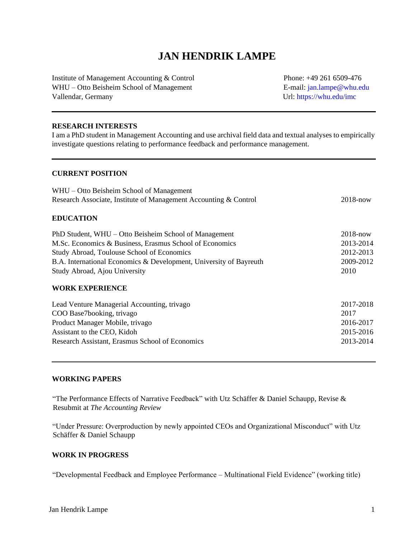# **JAN HENDRIK LAMPE**

Institute of Management Accounting & Control Phone: +49 261 6509-476 WHU – Otto Beisheim School of Management E-mail: jan.lampe@whu.edu Vallendar, Germany Url: https://whu.edu/imc

### **RESEARCH INTERESTS**

I am a PhD student in Management Accounting and use archival field data and textual analyses to empirically investigate questions relating to performance feedback and performance management.

# **CURRENT POSITION**

| WHU – Otto Beisheim School of Management                           |              |
|--------------------------------------------------------------------|--------------|
| Research Associate, Institute of Management Accounting & Control   | $2018 - now$ |
| <b>EDUCATION</b>                                                   |              |
| PhD Student, WHU – Otto Beisheim School of Management              | $2018 - now$ |
| M.Sc. Economics & Business, Erasmus School of Economics            | 2013-2014    |
| Study Abroad, Toulouse School of Economics                         | 2012-2013    |
| B.A. International Economics & Development, University of Bayreuth | 2009-2012    |
| Study Abroad, Ajou University                                      | 2010         |
| <b>WORK EXPERIENCE</b>                                             |              |
| Lead Venture Managerial Accounting, trivago                        | 2017-2018    |
| COO Base7booking, trivago                                          | 2017         |
| Product Manager Mobile, trivago                                    | 2016-2017    |
| Assistant to the CEO, Kidoh                                        | 2015-2016    |
| Research Assistant, Erasmus School of Economics                    | 2013-2014    |
|                                                                    |              |

# **WORKING PAPERS**

"The Performance Effects of Narrative Feedback" with Utz Schäffer & Daniel Schaupp, Revise & Resubmit at *The Accounting Review*

"Under Pressure: Overproduction by newly appointed CEOs and Organizational Misconduct" with Utz Schäffer & Daniel Schaupp

#### **WORK IN PROGRESS**

"Developmental Feedback and Employee Performance – Multinational Field Evidence" (working title)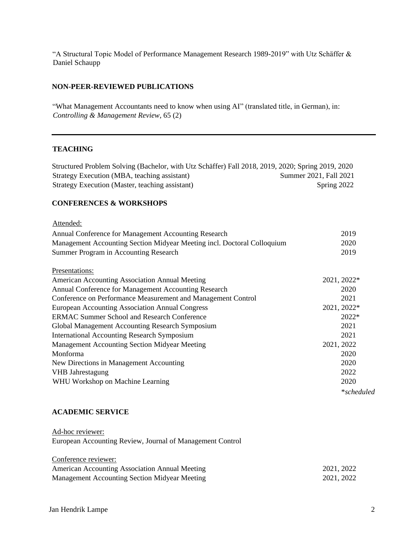"A Structural Topic Model of Performance Management Research 1989-2019" with Utz Schäffer & Daniel Schaupp

# **NON-PEER-REVIEWED PUBLICATIONS**

"What Management Accountants need to know when using AI" (translated title, in German), in: *Controlling & Management Review*, 65 (2)

### **TEACHING**

Structured Problem Solving (Bachelor, with Utz Schäffer) Fall 2018, 2019, 2020; Spring 2019, 2020 Strategy Execution (MBA, teaching assistant) Summer 2021, Fall 2021 Strategy Execution (Master, teaching assistant) Spring 2022

# **CONFERENCES & WORKSHOPS**

| Attended:                                                               |             |
|-------------------------------------------------------------------------|-------------|
| Annual Conference for Management Accounting Research                    | 2019        |
| Management Accounting Section Midyear Meeting incl. Doctoral Colloquium | 2020        |
| Summer Program in Accounting Research                                   | 2019        |
| Presentations:                                                          |             |
| American Accounting Association Annual Meeting                          | 2021, 2022* |
| Annual Conference for Management Accounting Research                    | 2020        |
| Conference on Performance Measurement and Management Control            | 2021        |
| European Accounting Association Annual Congress                         | 2021, 2022* |
| <b>ERMAC Summer School and Research Conference</b>                      | 2022*       |
| Global Management Accounting Research Symposium                         | 2021        |
| <b>International Accounting Research Symposium</b>                      | 2021        |
| <b>Management Accounting Section Midyear Meeting</b>                    | 2021, 2022  |
| Monforma                                                                | 2020        |
| New Directions in Management Accounting                                 | 2020        |
| <b>VHB</b> Jahrestagung                                                 | 2022        |
| WHU Workshop on Machine Learning                                        | 2020        |
|                                                                         | *scheduled  |

# **ACADEMIC SERVICE**

Ad-hoc reviewer: European Accounting Review, Journal of Management Control

| Conference reviewer:                           |            |
|------------------------------------------------|------------|
| American Accounting Association Annual Meeting | 2021, 2022 |
| Management Accounting Section Midyear Meeting  | 2021, 2022 |